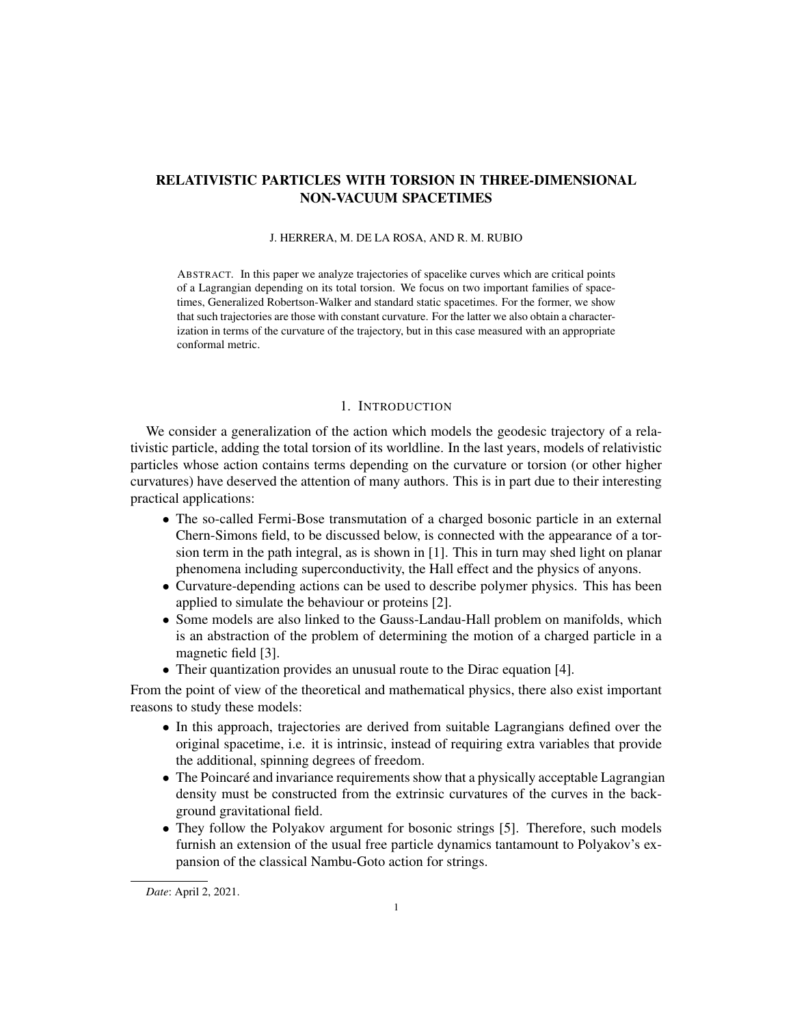# RELATIVISTIC PARTICLES WITH TORSION IN THREE-DIMENSIONAL NON-VACUUM SPACETIMES

## J. HERRERA, M. DE LA ROSA, AND R. M. RUBIO

ABSTRACT. In this paper we analyze trajectories of spacelike curves which are critical points of a Lagrangian depending on its total torsion. We focus on two important families of spacetimes, Generalized Robertson-Walker and standard static spacetimes. For the former, we show that such trajectories are those with constant curvature. For the latter we also obtain a characterization in terms of the curvature of the trajectory, but in this case measured with an appropriate conformal metric.

## 1. INTRODUCTION

We consider a generalization of the action which models the geodesic trajectory of a relativistic particle, adding the total torsion of its worldline. In the last years, models of relativistic particles whose action contains terms depending on the curvature or torsion (or other higher curvatures) have deserved the attention of many authors. This is in part due to their interesting practical applications:

- The so-called Fermi-Bose transmutation of a charged bosonic particle in an external Chern-Simons field, to be discussed below, is connected with the appearance of a torsion term in the path integral, as is shown in [1]. This in turn may shed light on planar phenomena including superconductivity, the Hall effect and the physics of anyons.
- Curvature-depending actions can be used to describe polymer physics. This has been applied to simulate the behaviour or proteins [2].
- *•* Some models are also linked to the Gauss-Landau-Hall problem on manifolds, which is an abstraction of the problem of determining the motion of a charged particle in a magnetic field [3].
- *•* Their quantization provides an unusual route to the Dirac equation [4].

From the point of view of the theoretical and mathematical physics, there also exist important reasons to study these models:

- In this approach, trajectories are derived from suitable Lagrangians defined over the original spacetime, i.e. it is intrinsic, instead of requiring extra variables that provide the additional, spinning degrees of freedom.
- The Poincaré and invariance requirements show that a physically acceptable Lagrangian density must be constructed from the extrinsic curvatures of the curves in the background gravitational field.
- They follow the Polyakov argument for bosonic strings [5]. Therefore, such models furnish an extension of the usual free particle dynamics tantamount to Polyakov's expansion of the classical Nambu-Goto action for strings.

*Date*: April 2, 2021.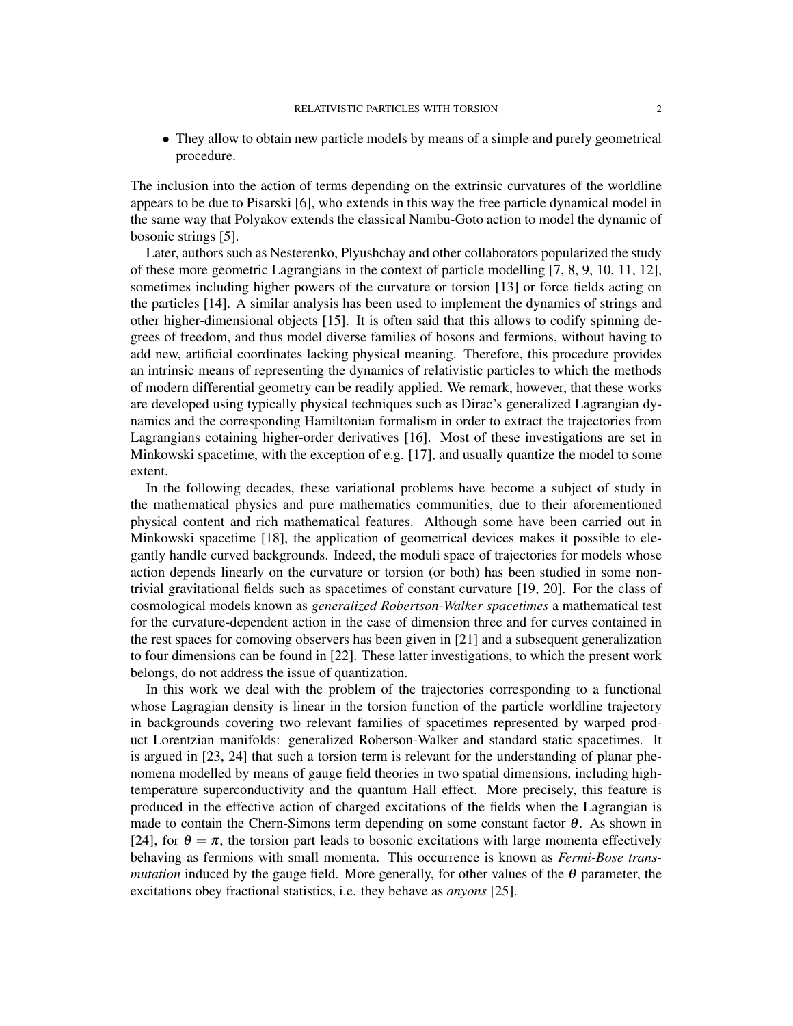• They allow to obtain new particle models by means of a simple and purely geometrical procedure.

The inclusion into the action of terms depending on the extrinsic curvatures of the worldline appears to be due to Pisarski [6], who extends in this way the free particle dynamical model in the same way that Polyakov extends the classical Nambu-Goto action to model the dynamic of bosonic strings [5].

Later, authors such as Nesterenko, Plyushchay and other collaborators popularized the study of these more geometric Lagrangians in the context of particle modelling [7, 8, 9, 10, 11, 12], sometimes including higher powers of the curvature or torsion [13] or force fields acting on the particles [14]. A similar analysis has been used to implement the dynamics of strings and other higher-dimensional objects [15]. It is often said that this allows to codify spinning degrees of freedom, and thus model diverse families of bosons and fermions, without having to add new, artificial coordinates lacking physical meaning. Therefore, this procedure provides an intrinsic means of representing the dynamics of relativistic particles to which the methods of modern differential geometry can be readily applied. We remark, however, that these works are developed using typically physical techniques such as Dirac's generalized Lagrangian dynamics and the corresponding Hamiltonian formalism in order to extract the trajectories from Lagrangians cotaining higher-order derivatives [16]. Most of these investigations are set in Minkowski spacetime, with the exception of e.g. [17], and usually quantize the model to some extent.

In the following decades, these variational problems have become a subject of study in the mathematical physics and pure mathematics communities, due to their aforementioned physical content and rich mathematical features. Although some have been carried out in Minkowski spacetime [18], the application of geometrical devices makes it possible to elegantly handle curved backgrounds. Indeed, the moduli space of trajectories for models whose action depends linearly on the curvature or torsion (or both) has been studied in some nontrivial gravitational fields such as spacetimes of constant curvature [19, 20]. For the class of cosmological models known as *generalized Robertson-Walker spacetimes* a mathematical test for the curvature-dependent action in the case of dimension three and for curves contained in the rest spaces for comoving observers has been given in [21] and a subsequent generalization to four dimensions can be found in [22]. These latter investigations, to which the present work belongs, do not address the issue of quantization.

In this work we deal with the problem of the trajectories corresponding to a functional whose Lagragian density is linear in the torsion function of the particle worldline trajectory in backgrounds covering two relevant families of spacetimes represented by warped product Lorentzian manifolds: generalized Roberson-Walker and standard static spacetimes. It is argued in [23, 24] that such a torsion term is relevant for the understanding of planar phenomena modelled by means of gauge field theories in two spatial dimensions, including hightemperature superconductivity and the quantum Hall effect. More precisely, this feature is produced in the effective action of charged excitations of the fields when the Lagrangian is made to contain the Chern-Simons term depending on some constant factor  $\theta$ . As shown in [24], for  $\theta = \pi$ , the torsion part leads to bosonic excitations with large momenta effectively behaving as fermions with small momenta. This occurrence is known as *Fermi-Bose transmutation* induced by the gauge field. More generally, for other values of the  $\theta$  parameter, the excitations obey fractional statistics, i.e. they behave as *anyons* [25].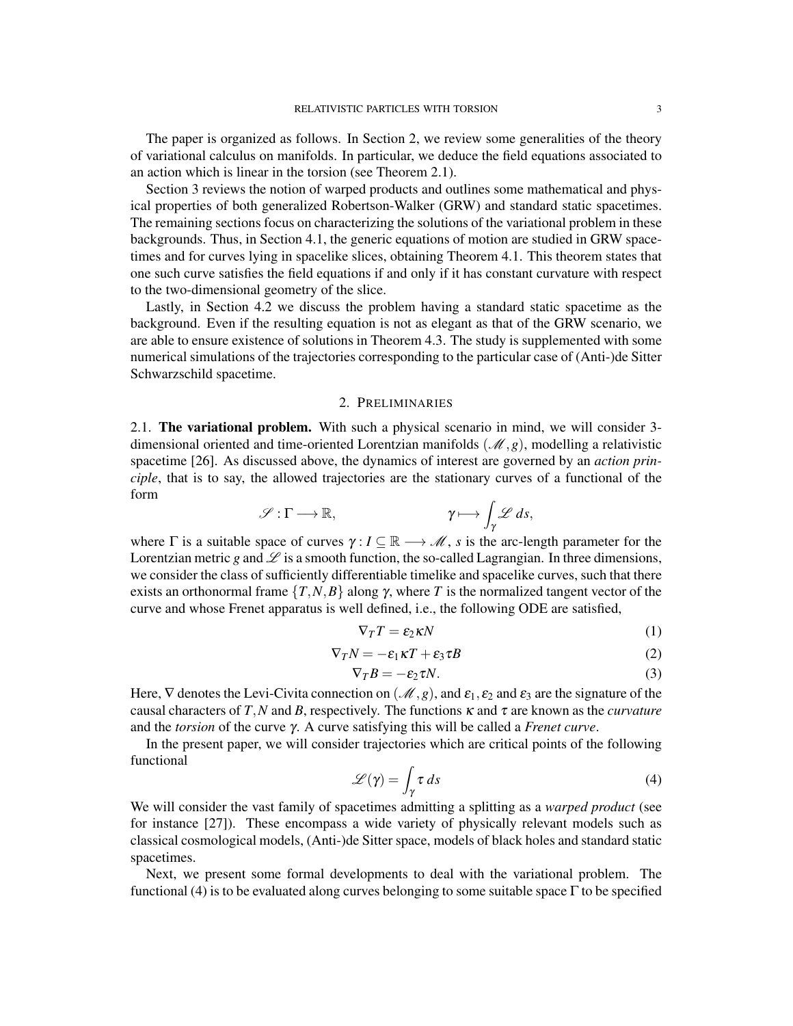The paper is organized as follows. In Section 2, we review some generalities of the theory of variational calculus on manifolds. In particular, we deduce the field equations associated to an action which is linear in the torsion (see Theorem 2.1).

Section 3 reviews the notion of warped products and outlines some mathematical and physical properties of both generalized Robertson-Walker (GRW) and standard static spacetimes. The remaining sections focus on characterizing the solutions of the variational problem in these backgrounds. Thus, in Section 4.1, the generic equations of motion are studied in GRW spacetimes and for curves lying in spacelike slices, obtaining Theorem 4.1. This theorem states that one such curve satisfies the field equations if and only if it has constant curvature with respect to the two-dimensional geometry of the slice.

Lastly, in Section 4.2 we discuss the problem having a standard static spacetime as the background. Even if the resulting equation is not as elegant as that of the GRW scenario, we are able to ensure existence of solutions in Theorem 4.3. The study is supplemented with some numerical simulations of the trajectories corresponding to the particular case of (Anti-)de Sitter Schwarzschild spacetime.

## 2. PRELIMINARIES

2.1. The variational problem. With such a physical scenario in mind, we will consider 3 dimensional oriented and time-oriented Lorentzian manifolds (*M,g*), modelling a relativistic spacetime [26]. As discussed above, the dynamics of interest are governed by an *action principle*, that is to say, the allowed trajectories are the stationary curves of a functional of the form

$$
\mathscr{S}:\Gamma\longrightarrow\mathbb{R},\qquad\qquad\gamma\longmapsto\int_{\gamma}\mathscr{L}\,ds,
$$

where  $\Gamma$  is a suitable space of curves  $\gamma: I \subseteq \mathbb{R} \longrightarrow \mathcal{M}$ , *s* is the arc-length parameter for the Lorentzian metric *g* and  $\mathscr L$  is a smooth function, the so-called Lagrangian. In three dimensions, we consider the class of sufficiently differentiable timelike and spacelike curves, such that there exists an orthonormal frame  $\{T, N, B\}$  along  $\gamma$ , where  $T$  is the normalized tangent vector of the curve and whose Frenet apparatus is well defined, i.e., the following ODE are satisfied,

$$
\nabla_T T = \varepsilon_2 \kappa N \tag{1}
$$

$$
\nabla_T N = -\varepsilon_1 \kappa T + \varepsilon_3 \tau B \tag{2}
$$

$$
\nabla_T B = -\varepsilon_2 \tau N. \tag{3}
$$

Here,  $\nabla$  denotes the Levi-Civita connection on  $(\mathcal{M}, g)$ , and  $\varepsilon_1, \varepsilon_2$  and  $\varepsilon_3$  are the signature of the causal characters of *T*,*N* and *B*, respectively. The functions  $\kappa$  and  $\tau$  are known as the *curvature* and the *torsion* of the curve γ. A curve satisfying this will be called a *Frenet curve*.

In the present paper, we will consider trajectories which are critical points of the following functional

$$
\mathscr{L}(\gamma) = \int_{\gamma} \tau \, ds \tag{4}
$$

We will consider the vast family of spacetimes admitting a splitting as a *warped product* (see for instance [27]). These encompass a wide variety of physically relevant models such as classical cosmological models, (Anti-)de Sitter space, models of black holes and standard static spacetimes.

Next, we present some formal developments to deal with the variational problem. The functional (4) is to be evaluated along curves belonging to some suitable space  $\Gamma$  to be specified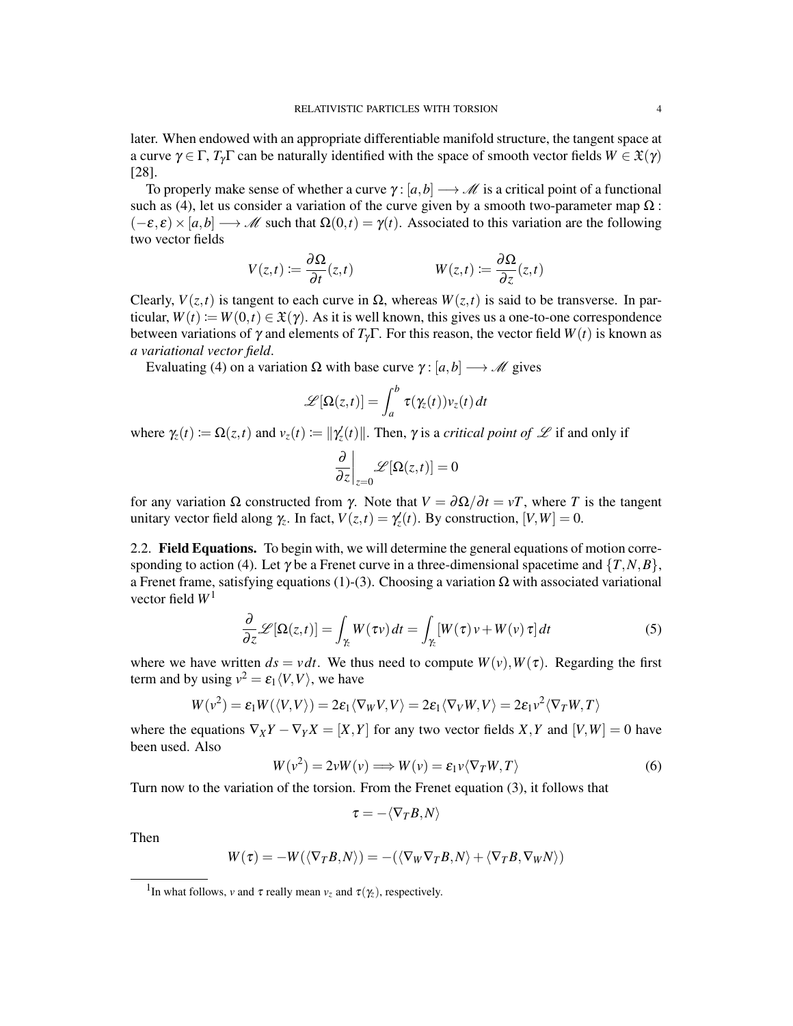later. When endowed with an appropriate differentiable manifold structure, the tangent space at a curve  $\gamma \in \Gamma$ ,  $T_{\gamma}\Gamma$  can be naturally identified with the space of smooth vector fields  $W \in \mathfrak{X}(\gamma)$ [28].

To properly make sense of whether a curve  $\gamma$ : [a, b]  $\rightarrow \mathcal{M}$  is a critical point of a functional such as (4), let us consider a variation of the curve given by a smooth two-parameter map  $\Omega$  :  $(-\varepsilon, \varepsilon) \times [a, b]$  → *M* such that  $\Omega(0, t) = \gamma(t)$ . Associated to this variation are the following two vector fields

$$
V(z,t) := \frac{\partial \Omega}{\partial t}(z,t) \qquad W(z,t) := \frac{\partial \Omega}{\partial z}(z,t)
$$

Clearly,  $V(z,t)$  is tangent to each curve in  $\Omega$ , whereas  $W(z,t)$  is said to be transverse. In particular,  $W(t) := W(0,t) \in \mathfrak{X}(\gamma)$ . As it is well known, this gives us a one-to-one correspondence between variations of <sup>γ</sup> and elements of *T*γΓ. For this reason, the vector field *W*(*t*) is known as *a variational vector field*.

Evaluating (4) on a variation Ω with base curve  $\gamma$ : [a, b]  $\rightarrow$  *M* gives

$$
\mathscr{L}[\Omega(z,t)] = \int_a^b \tau(\gamma_z(t))v_z(t) dt
$$

where  $\gamma_z(t) := \Omega(z, t)$  and  $v_z(t) := ||\gamma_z'(t)||$ . Then,  $\gamma$  is a *critical point of*  $\mathscr L$  if and only if

$$
\frac{\partial}{\partial z}\bigg|_{z=0}\mathscr{L}[\Omega(z,t)]=0
$$

for any variation Ω constructed from <sup>γ</sup>. Note that *V* = ∂Ω*/*∂*t* = *vT*, where *T* is the tangent unitary vector field along  $\gamma_z$ . In fact,  $V(z,t) = \gamma_z'(t)$ . By construction,  $[V, W] = 0$ .

2.2. Field Equations. To begin with, we will determine the general equations of motion corresponding to action (4). Let  $\gamma$  be a Frenet curve in a three-dimensional spacetime and  $\{T, N, B\}$ , a Frenet frame, satisfying equations (1)-(3). Choosing a variation  $\Omega$  with associated variational vector field *W*<sup>1</sup>

$$
\frac{\partial}{\partial z} \mathcal{L}[\Omega(z,t)] = \int_{\gamma_z} W(\tau v) dt = \int_{\gamma_z} [W(\tau) v + W(v) \tau] dt \tag{5}
$$

where we have written  $ds = v dt$ . We thus need to compute  $W(v)$ ,  $W(\tau)$ . Regarding the first term and by using  $v^2 = \varepsilon_1 \langle V, V \rangle$ , we have

$$
W(v^2) = \varepsilon_1 W(\langle V, V \rangle) = 2\varepsilon_1 \langle \nabla_W V, V \rangle = 2\varepsilon_1 \langle \nabla_V W, V \rangle = 2\varepsilon_1 v^2 \langle \nabla_T W, T \rangle
$$

where the equations  $\nabla_X Y - \nabla_Y X = [X, Y]$  for any two vector fields *X*, *Y* and  $[V, W] = 0$  have been used. Also

$$
W(v^2) = 2vW(v) \Longrightarrow W(v) = \varepsilon_1 v \langle \nabla_T W, T \rangle \tag{6}
$$

Turn now to the variation of the torsion. From the Frenet equation (3), it follows that

$$
\tau=-\langle\nabla_T B,N\rangle
$$

Then

$$
W(\tau) = -W(\langle \nabla_T B, N \rangle) = -(\langle \nabla_W \nabla_T B, N \rangle + \langle \nabla_T B, \nabla_W N \rangle)
$$

<sup>&</sup>lt;sup>1</sup>In what follows, *v* and  $\tau$  really mean  $v_z$  and  $\tau(\gamma_z)$ , respectively.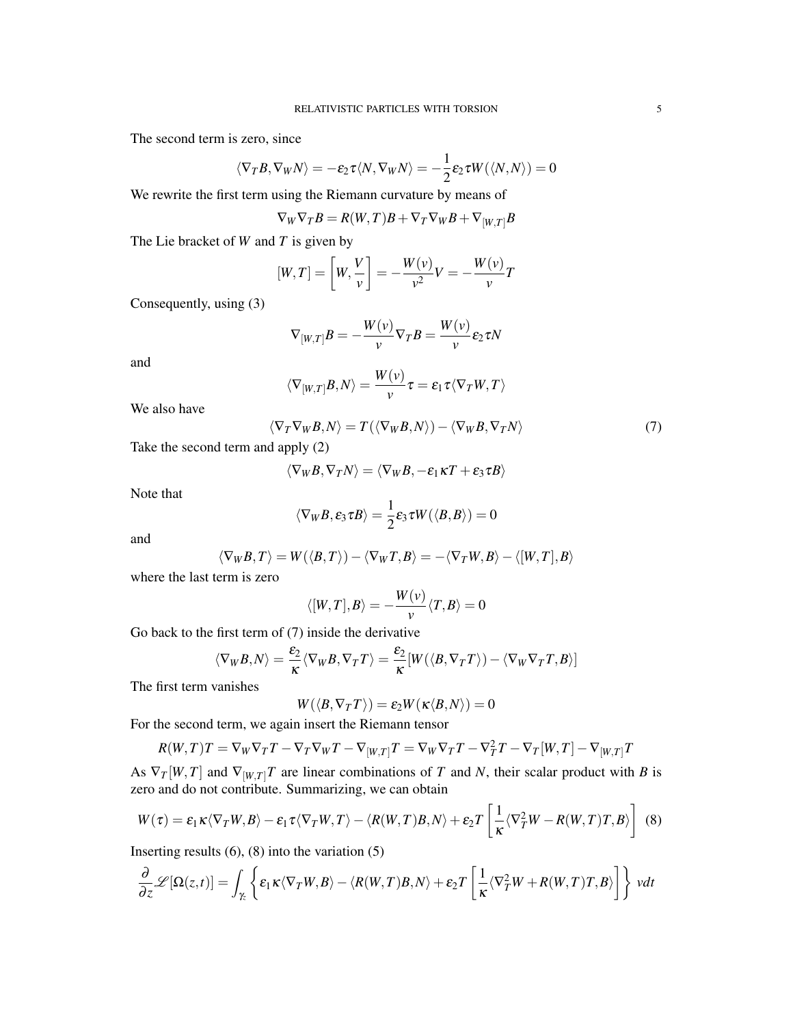The second term is zero, since

$$
\langle \nabla_T B, \nabla_W N \rangle = -\varepsilon_2 \tau \langle N, \nabla_W N \rangle = -\frac{1}{2} \varepsilon_2 \tau W(\langle N, N \rangle) = 0
$$

We rewrite the first term using the Riemann curvature by means of

$$
\nabla_W \nabla_T B = R(W,T)B + \nabla_T \nabla_W B + \nabla_{[W,T]} B
$$

The Lie bracket of *W* and *T* is given by

$$
[W,T] = \left[W, \frac{V}{v}\right] = -\frac{W(v)}{v^2}V = -\frac{W(v)}{v}T
$$

Consequently, using (3)

$$
\nabla_{[W,T]}B=-\frac{W(v)}{v}\nabla_{T}B=\frac{W(v)}{v}\varepsilon_{2}\tau N
$$

and

$$
\langle \nabla_{[W,T]} B, N \rangle = \frac{W(\nu)}{\nu} \tau = \epsilon_1 \tau \langle \nabla_T W, T \rangle
$$

We also have

$$
\langle \nabla_T \nabla_W B, N \rangle = T(\langle \nabla_W B, N \rangle) - \langle \nabla_W B, \nabla_T N \rangle \tag{7}
$$

Take the second term and apply (2)

$$
\langle \nabla_W B, \nabla_T N \rangle = \langle \nabla_W B, -\varepsilon_1 \kappa T + \varepsilon_3 \tau B \rangle
$$

Note that

$$
\langle \nabla_W B, \varepsilon_3 \tau B \rangle = \frac{1}{2} \varepsilon_3 \tau W(\langle B, B \rangle) = 0
$$

and

$$
\langle \nabla_W B, T \rangle = W(\langle B, T \rangle) - \langle \nabla_W T, B \rangle = -\langle \nabla_T W, B \rangle - \langle [W, T], B \rangle
$$

where the last term is zero

$$
\langle [W,T],B\rangle=-\frac{W(v)}{v}\langle T,B\rangle=0
$$

Go back to the first term of (7) inside the derivative

$$
\langle \nabla_W B, N \rangle = \frac{\varepsilon_2}{\kappa} \langle \nabla_W B, \nabla_T T \rangle = \frac{\varepsilon_2}{\kappa} [W(\langle B, \nabla_T T \rangle) - \langle \nabla_W \nabla_T T, B \rangle]
$$

The first term vanishes

$$
W(\langle B,\nabla_T T\rangle)=\epsilon_2 W(\kappa\langle B,N\rangle)=0
$$

For the second term, we again insert the Riemann tensor

$$
R(W,T)T = \nabla_W \nabla_T T - \nabla_T \nabla_W T - \nabla_{[W,T]} T = \nabla_W \nabla_T T - \nabla_T^2 T - \nabla_T[W,T] - \nabla_{[W,T]} T
$$

As  $\nabla_T[W,T]$  and  $\nabla_{[W,T]}T$  are linear combinations of *T* and *N*, their scalar product with *B* is zero and do not contribute. Summarizing, we can obtain

$$
W(\tau) = \varepsilon_1 \kappa \langle \nabla_T W, B \rangle - \varepsilon_1 \tau \langle \nabla_T W, T \rangle - \langle R(W, T)B, N \rangle + \varepsilon_2 T \left[ \frac{1}{\kappa} \langle \nabla_T^2 W - R(W, T)T, B \rangle \right] \tag{8}
$$

Inserting results  $(6)$ ,  $(8)$  into the variation  $(5)$ 

$$
\frac{\partial}{\partial z} \mathcal{L}[\Omega(z,t)] = \int_{\gamma_z} \left\{ \varepsilon_1 \kappa \langle \nabla_T W, B \rangle - \langle R(W,T)B, N \rangle + \varepsilon_2 T \left[ \frac{1}{\kappa} \langle \nabla_T^2 W + R(W,T)T, B \rangle \right] \right\} \ v dt
$$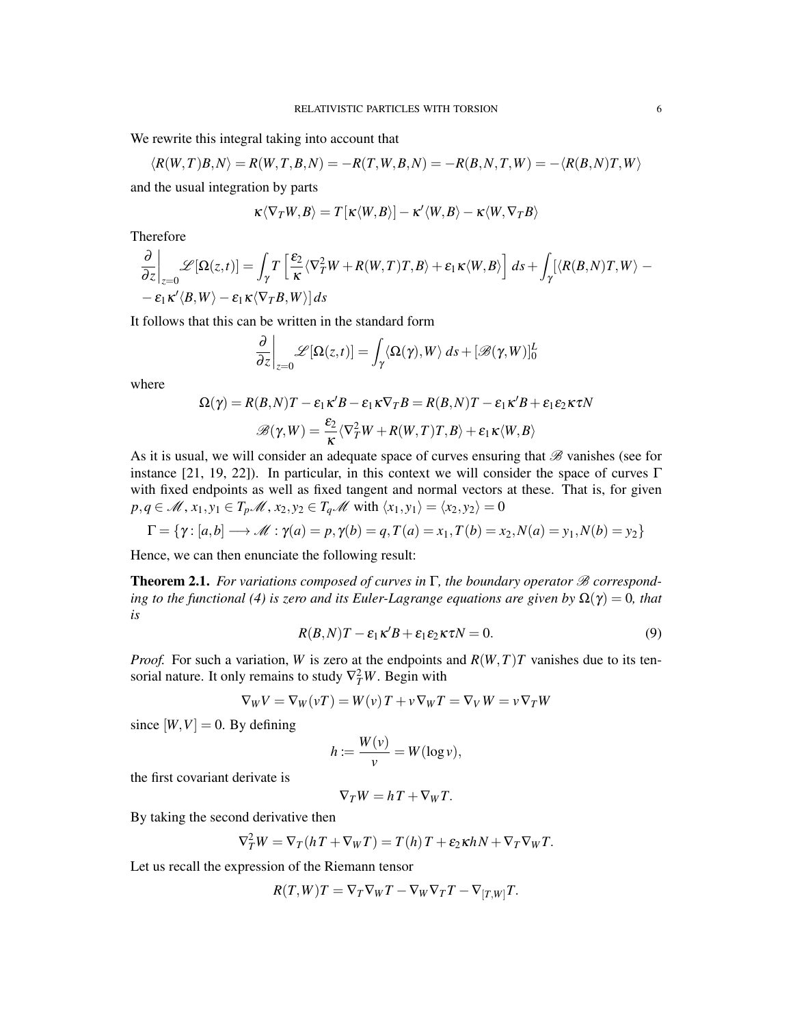We rewrite this integral taking into account that

$$
\langle R(W,T)B,N\rangle = R(W,T,B,N) = -R(T,W,B,N) = -R(B,N,T,W) = -\langle R(B,N)T,W\rangle
$$

and the usual integration by parts

$$
\kappa \langle \nabla_T W, B \rangle = T[\kappa \langle W, B \rangle] - \kappa' \langle W, B \rangle - \kappa \langle W, \nabla_T B \rangle
$$

Therefore

$$
\frac{\partial}{\partial z}\bigg|_{z=0}\mathscr{L}[\Omega(z,t)] = \int_{\gamma} T\left[\frac{\varepsilon_2}{\kappa}\langle \nabla_T^2 W + R(W,T)T,B\rangle + \varepsilon_1 \kappa \langle W,B\rangle\right] ds + \int_{\gamma} [\langle R(B,N)T,W\rangle - \varepsilon_1 \kappa \langle B,W\rangle - \varepsilon_1 \kappa \langle \nabla_T B,W\rangle] ds
$$

It follows that this can be written in the standard form

$$
\frac{\partial}{\partial z}\bigg|_{z=0}\mathscr{L}[\Omega(z,t)] = \int_{\gamma} \langle \Omega(\gamma), W \rangle ds + [\mathscr{B}(\gamma, W)]_0^L
$$

where

$$
\Omega(\gamma) = R(B, N)T - \varepsilon_1 \kappa' B - \varepsilon_1 \kappa \nabla_T B = R(B, N)T - \varepsilon_1 \kappa' B + \varepsilon_1 \varepsilon_2 \kappa \tau N
$$

$$
\mathscr{B}(\gamma, W) = \frac{\varepsilon_2}{\kappa} \langle \nabla_T^2 W + R(W, T)T, B \rangle + \varepsilon_1 \kappa \langle W, B \rangle
$$

As it is usual, we will consider an adequate space of curves ensuring that *B* vanishes (see for instance [21, 19, 22]). In particular, in this context we will consider the space of curves  $\Gamma$ with fixed endpoints as well as fixed tangent and normal vectors at these. That is, for given  $p, q \in M$ ,  $x_1, y_1 \in T_p$   $\mathscr{M}$ ,  $x_2, y_2 \in T_q \mathscr{M}$  with  $\langle x_1, y_1 \rangle = \langle x_2, y_2 \rangle = 0$ 

$$
\Gamma = \{ \gamma : [a,b] \longrightarrow \mathcal{M} : \gamma(a) = p, \gamma(b) = q, T(a) = x_1, T(b) = x_2, N(a) = y_1, N(b) = y_2 \}
$$

Hence, we can then enunciate the following result:

Theorem 2.1. *For variations composed of curves in* Γ*, the boundary operator B corresponding to the functional (4) is zero and its Euler-Lagrange equations are given by*  $\Omega(\gamma) = 0$ *, that is*

$$
R(B,N)T - \varepsilon_1 \kappa' B + \varepsilon_1 \varepsilon_2 \kappa \tau N = 0.
$$
\n(9)

*Proof.* For such a variation, *W* is zero at the endpoints and  $R(W,T)T$  vanishes due to its tensorial nature. It only remains to study  $\nabla_T^2 W$ . Begin with

$$
\nabla_W V = \nabla_W (\nu T) = W(\nu) T + \nu \nabla_W T = \nabla_V W = \nu \nabla_T W
$$

since  $[W, V] = 0$ . By defining

$$
h := \frac{W(v)}{v} = W(\log v),
$$

the first covariant derivate is

$$
\nabla_T W = hT + \nabla_W T.
$$

By taking the second derivative then

$$
\nabla_T^2 W = \nabla_T (hT + \nabla_W T) = T(h)T + \varepsilon_2 \kappa hN + \nabla_T \nabla_W T.
$$

Let us recall the expression of the Riemann tensor

$$
R(T,W)T = \nabla_T \nabla_W T - \nabla_W \nabla_T T - \nabla_{[T,W]} T.
$$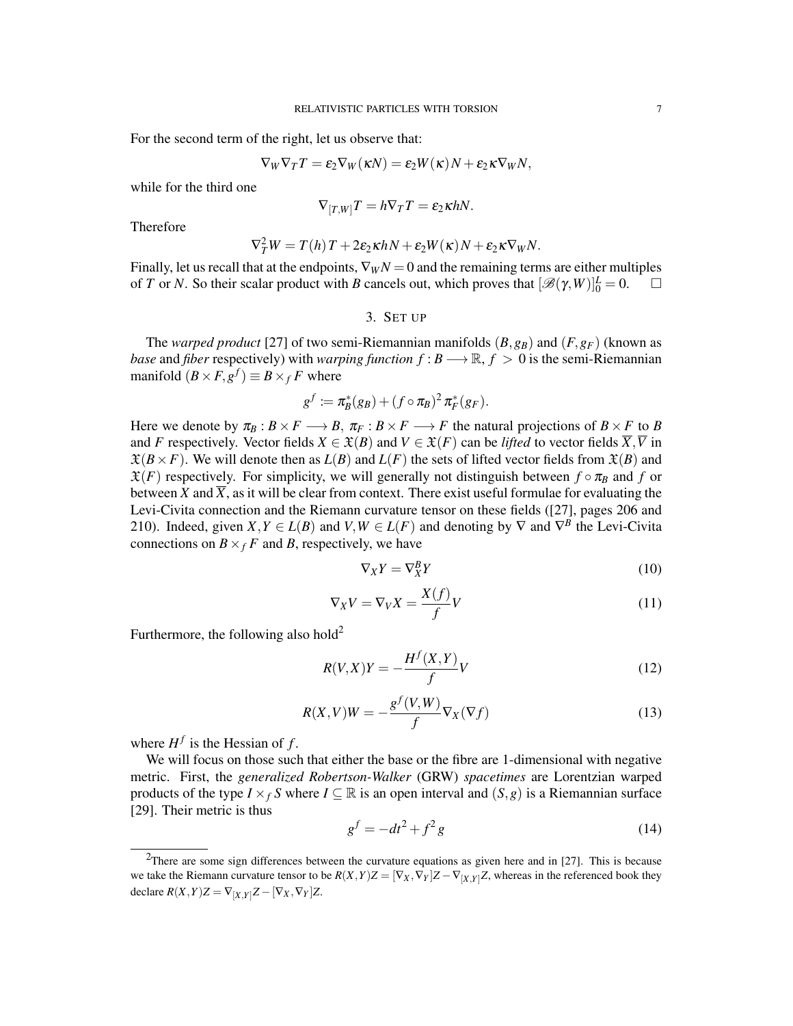For the second term of the right, let us observe that:

$$
\nabla_W \nabla_T T = \varepsilon_2 \nabla_W (\kappa N) = \varepsilon_2 W(\kappa) N + \varepsilon_2 \kappa \nabla_W N,
$$

while for the third one

$$
\nabla_{[T,W]}T = h\nabla_T T = \varepsilon_2 \kappa h N.
$$

Therefore

$$
\nabla_T^2 W = T(h) T + 2\varepsilon_2 \kappa h N + \varepsilon_2 W(\kappa) N + \varepsilon_2 \kappa \nabla_W N.
$$

Finally, let us recall that at the endpoints,  $\nabla_W N = 0$  and the remaining terms are either multiples of *T* or *N*. So their scalar product with *B* cancels out, which proves that  $[\mathcal{B}(\gamma, W)]_0^L = 0$ .  $\Box$ 

3. SET UP

The *warped product* [27] of two semi-Riemannian manifolds  $(B, g_B)$  and  $(F, g_F)$  (known as *base* and *fiber* respectively) with *warping function*  $f : B \longrightarrow \mathbb{R}, f > 0$  is the semi-Riemannian manifold  $(B \times F, g^f) \equiv B \times_f F$  where

$$
g^f \coloneqq \pi_B^*(g_B) + (f \circ \pi_B)^2 \pi_F^*(g_F).
$$

Here we denote by  $\pi_B : B \times F \longrightarrow B$ ,  $\pi_F : B \times F \longrightarrow F$  the natural projections of  $B \times F$  to *B* and *F* respectively. Vector fields  $X \in \mathfrak{X}(B)$  and  $V \in \mathfrak{X}(F)$  can be *lifted* to vector fields  $\overline{X}, \overline{V}$  in  $\mathfrak{X}(B \times F)$ . We will denote then as  $L(B)$  and  $L(F)$  the sets of lifted vector fields from  $\mathfrak{X}(B)$  and  $\mathfrak{X}(F)$  respectively. For simplicity, we will generally not distinguish between  $f \circ \pi_B$  and  $f$  or between *X* and  $\overline{X}$ , as it will be clear from context. There exist useful formulae for evaluating the Levi-Civita connection and the Riemann curvature tensor on these fields ([27], pages 206 and 210). Indeed, given  $X, Y \in L(B)$  and  $V, W \in L(F)$  and denoting by  $\nabla$  and  $\nabla^B$  the Levi-Civita connections on  $B \times_f F$  and *B*, respectively, we have

$$
\nabla_X Y = \nabla_X^B Y \tag{10}
$$

$$
\nabla_X V = \nabla_V X = \frac{X(f)}{f} V \tag{11}
$$

Furthermore, the following also hold<sup>2</sup>

$$
R(V,X)Y = -\frac{H^f(X,Y)}{f}V\tag{12}
$$

$$
R(X,V)W = -\frac{g^{f}(V,W)}{f}\nabla_{X}(\nabla f)
$$
\n(13)

where  $H^f$  is the Hessian of  $f$ .

We will focus on those such that either the base or the fibre are 1-dimensional with negative metric. First, the *generalized Robertson-Walker* (GRW) *spacetimes* are Lorentzian warped products of the type  $I \times_f S$  where  $I \subseteq \mathbb{R}$  is an open interval and  $(S, g)$  is a Riemannian surface [29]. Their metric is thus

$$
g^f = -dt^2 + f^2 g \tag{14}
$$

<sup>&</sup>lt;sup>2</sup>There are some sign differences between the curvature equations as given here and in [27]. This is because we take the Riemann curvature tensor to be  $R(X,Y)Z = [\nabla_X, \nabla_Y]Z - \nabla_{[X,Y]}Z$ , whereas in the referenced book they declare  $R(X, Y)Z = \nabla_{[X, Y]}Z - [\nabla_X, \nabla_Y]Z$ .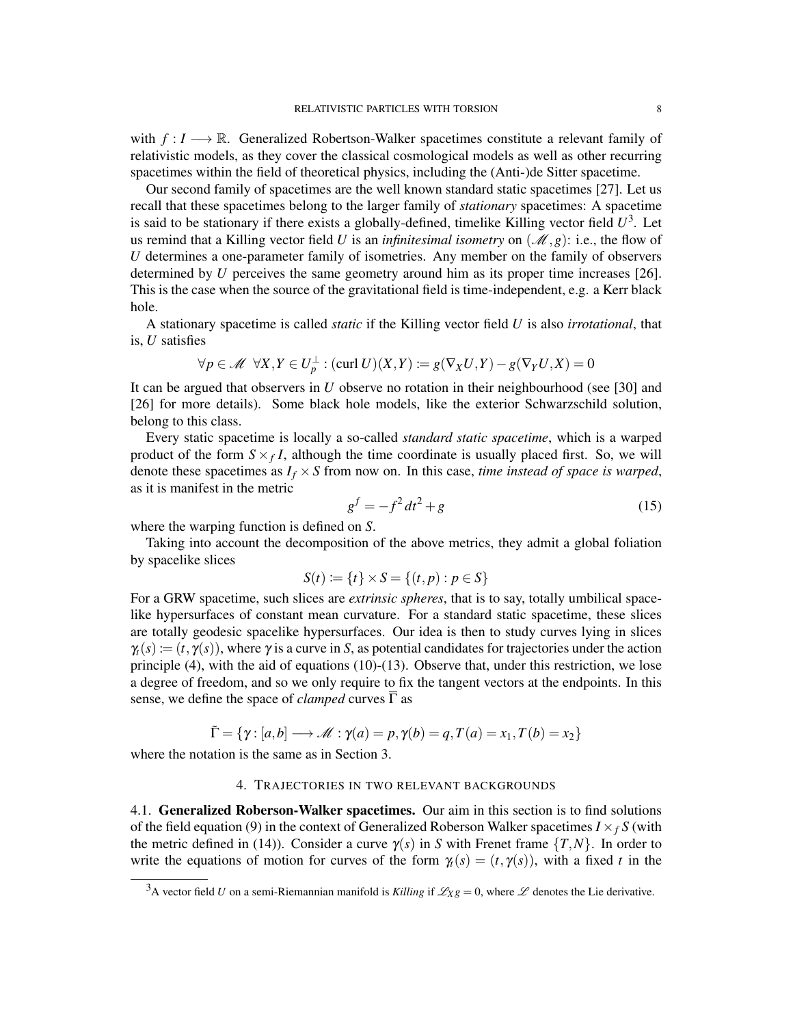with *f* : *I −→* R. Generalized Robertson-Walker spacetimes constitute a relevant family of relativistic models, as they cover the classical cosmological models as well as other recurring spacetimes within the field of theoretical physics, including the (Anti-)de Sitter spacetime.

Our second family of spacetimes are the well known standard static spacetimes [27]. Let us recall that these spacetimes belong to the larger family of *stationary* spacetimes: A spacetime is said to be stationary if there exists a globally-defined, timelike Killing vector field  $U^3$ . Let us remind that a Killing vector field *U* is an *infinitesimal isometry* on  $(\mathcal{M}, g)$ : i.e., the flow of *U* determines a one-parameter family of isometries. Any member on the family of observers determined by *U* perceives the same geometry around him as its proper time increases [26]. This is the case when the source of the gravitational field is time-independent, e.g. a Kerr black hole.

A stationary spacetime is called *static* if the Killing vector field *U* is also *irrotational*, that is, *U* satisfies

$$
\forall p \in \mathcal{M} \ \ \forall X, Y \in U_p^{\perp} : (\text{curl } U)(X, Y) \coloneqq g(\nabla_X U, Y) - g(\nabla_Y U, X) = 0
$$

It can be argued that observers in *U* observe no rotation in their neighbourhood (see [30] and [26] for more details). Some black hole models, like the exterior Schwarzschild solution, belong to this class.

Every static spacetime is locally a so-called *standard static spacetime*, which is a warped product of the form  $S \times_f I$ , although the time coordinate is usually placed first. So, we will denote these spacetimes as  $I_f \times S$  from now on. In this case, *time instead of space is warped*, as it is manifest in the metric

$$
g^f = -f^2 dt^2 + g \tag{15}
$$

where the warping function is defined on *S*.

Taking into account the decomposition of the above metrics, they admit a global foliation by spacelike slices

$$
S(t) := \{t\} \times S = \{(t, p) : p \in S\}
$$

For a GRW spacetime, such slices are *extrinsic spheres*, that is to say, totally umbilical spacelike hypersurfaces of constant mean curvature. For a standard static spacetime, these slices are totally geodesic spacelike hypersurfaces. Our idea is then to study curves lying in slices  $\gamma(t) := (t, \gamma(s))$ , where  $\gamma$  is a curve in *S*, as potential candidates for trajectories under the action principle  $(4)$ , with the aid of equations  $(10)-(13)$ . Observe that, under this restriction, we lose a degree of freedom, and so we only require to fix the tangent vectors at the endpoints. In this sense, we define the space of *clamped* curves  $\overline{\Gamma}$  as

$$
\tilde{\Gamma} = \{ \gamma : [a, b] \longrightarrow \mathcal{M} : \gamma(a) = p, \gamma(b) = q, T(a) = x_1, T(b) = x_2 \}
$$

where the notation is the same as in Section 3.

## 4. TRAJECTORIES IN TWO RELEVANT BACKGROUNDS

4.1. Generalized Roberson-Walker spacetimes. Our aim in this section is to find solutions of the field equation (9) in the context of Generalized Roberson Walker spacetimes  $I \times_f S$  (with the metric defined in (14)). Consider a curve  $\gamma(s)$  in *S* with Frenet frame  $\{T, N\}$ . In order to write the equations of motion for curves of the form  $\gamma_t(s) = (t, \gamma(s))$ , with a fixed *t* in the

<sup>&</sup>lt;sup>3</sup>A vector field *U* on a semi-Riemannian manifold is *Killing* if  $\mathcal{L}_{X}g = 0$ , where  $\mathcal L$  denotes the Lie derivative.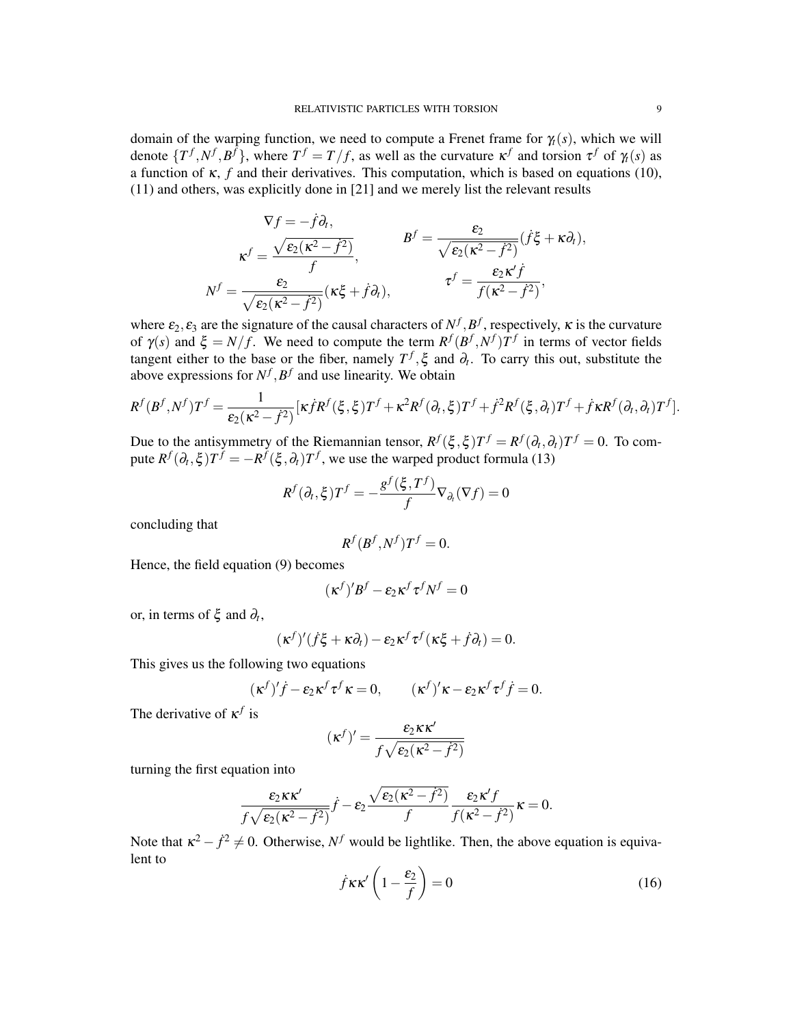domain of the warping function, we need to compute a Frenet frame for  $\gamma_t(s)$ , which we will denote  $\{T^f, N^f, B^f\}$ , where  $T^f = T/f$ , as well as the curvature  $\kappa^f$  and torsion  $\tau^f$  of  $\gamma_f(s)$  as a function of <sup>κ</sup>, *f* and their derivatives. This computation, which is based on equations (10), (11) and others, was explicitly done in [21] and we merely list the relevant results

$$
\nabla f = -\dot{f}\partial_t,
$$
\n
$$
\kappa^f = \frac{\sqrt{\varepsilon_2(\kappa^2 - \dot{f}^2)}}{f},
$$
\n
$$
N^f = \frac{\varepsilon_2}{\sqrt{\varepsilon_2(\kappa^2 - \dot{f}^2)}},
$$
\n
$$
I^f = \frac{\varepsilon_2}{\sqrt{\varepsilon_2(\kappa^2 - \dot{f}^2)}}(\kappa\xi + \dot{f}\partial_t),
$$
\n
$$
\tau^f = \frac{\varepsilon_2 \kappa^f \dot{f}}{f(\kappa^2 - \dot{f}^2)},
$$

where  $\varepsilon_2$ ,  $\varepsilon_3$  are the signature of the causal characters of  $N^f$ ,  $B^f$ , respectively,  $\kappa$  is the curvature of  $\gamma(s)$  and  $\xi = N/f$ . We need to compute the term  $R^f(B^f, N^f)T^f$  in terms of vector fields tangent either to the base or the fiber, namely  $T^f$ ,  $\xi$  and  $\partial_t$ . To carry this out, substitute the above expressions for  $N^f$ ,  $B^f$  and use linearity. We obtain

$$
R^f(B^f, N^f)T^f = \frac{1}{\varepsilon_2(\kappa^2 - f^2)} [\kappa \dot{f}R^f(\xi, \xi)T^f + \kappa^2 R^f(\partial_t, \xi)T^f + \dot{f}^2 R^f(\xi, \partial_t)T^f + \dot{f}\kappa R^f(\partial_t, \partial_t)T^f].
$$

Due to the antisymmetry of the Riemannian tensor,  $R^f(\xi, \xi)T^f = R^f(\partial_t, \partial_t)T^f = 0$ . To compute  $R^f(\partial_t, \xi)T^f = -R^f(\xi, \partial_t)T^f$ , we use the warped product formula (13)

$$
R^f(\partial_t, \xi)T^f = -\frac{g^f(\xi, T^f)}{f} \nabla_{\partial_t} (\nabla f) = 0
$$

concluding that

$$
R^f(B^f, N^f)T^f = 0.
$$

Hence, the field equation (9) becomes

$$
(\kappa^f)'B^f - \varepsilon_2 \kappa^f \tau^f N^f = 0
$$

or, in terms of  $\xi$  and  $\partial_t$ ,

$$
(\kappa^f)'(\dot{f}\xi + \kappa \partial_t) - \varepsilon_2 \kappa^f \tau^f (\kappa \xi + \dot{f} \partial_t) = 0.
$$

This gives us the following two equations

$$
(\kappa^f)' \dot{f} - \varepsilon_2 \kappa^f \tau^f \kappa = 0, \qquad (\kappa^f)' \kappa - \varepsilon_2 \kappa^f \tau^f \dot{f} = 0.
$$

The derivative of <sup>κ</sup> *f* is

$$
(\kappa^f)' = \frac{\varepsilon_2 \kappa \kappa'}{f \sqrt{\varepsilon_2 (\kappa^2 - \dot{f}^2)}}
$$

turning the first equation into

$$
\frac{\varepsilon_2 \kappa \kappa'}{f \sqrt{\varepsilon_2(\kappa^2 - \dot{f}^2)}} \dot{f} - \varepsilon_2 \frac{\sqrt{\varepsilon_2(\kappa^2 - \dot{f}^2)}}{f} \frac{\varepsilon_2 \kappa' f}{f(\kappa^2 - \dot{f}^2)} \kappa = 0.
$$

Note that  $\kappa^2 - \dot{f}^2 \neq 0$ . Otherwise,  $N^f$  would be lightlike. Then, the above equation is equivalent to

$$
\dot{f}\kappa\kappa'\left(1-\frac{\varepsilon_2}{f}\right) = 0\tag{16}
$$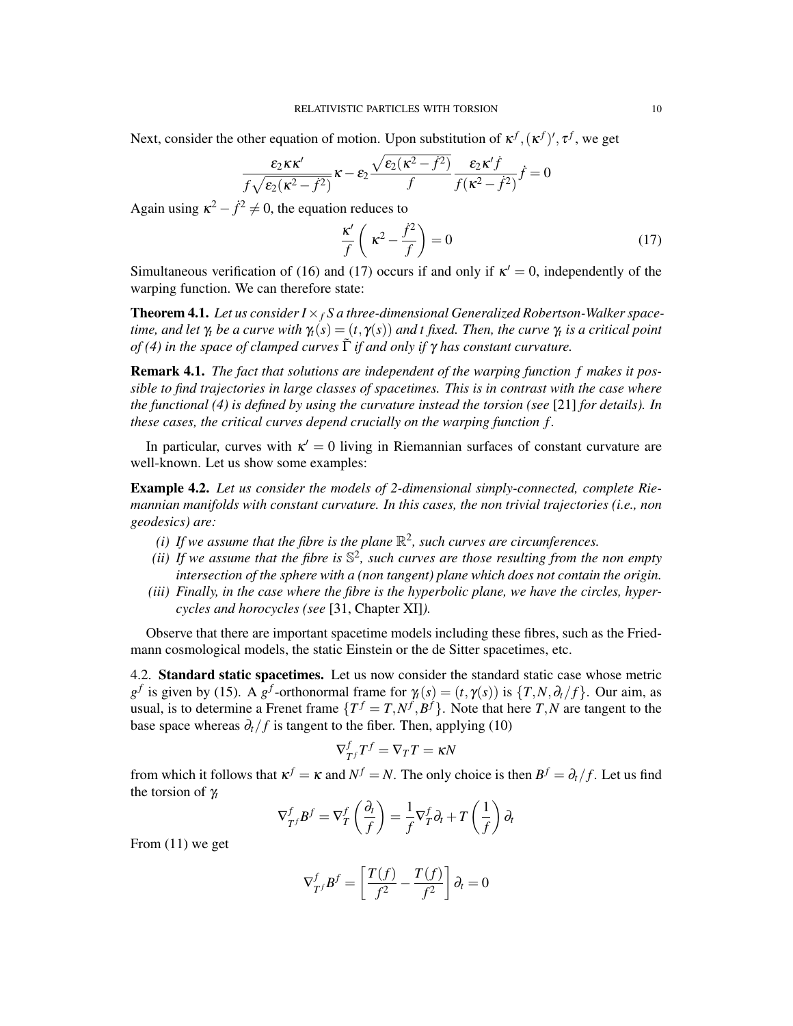Next, consider the other equation of motion. Upon substitution of  $\kappa^f$ ,  $(\kappa^f)'$ ,  $\tau^f$ , we get

$$
\frac{\varepsilon_2\kappa\kappa'}{f\sqrt{\varepsilon_2(\kappa^2-f^2)}}\kappa-\varepsilon_2\frac{\sqrt{\varepsilon_2(\kappa^2-f^2)}}{f}\frac{\varepsilon_2\kappa' \dot{f}}{f(\kappa^2-f^2)}\dot{f}=0
$$

Again using  $\kappa^2 - \dot{f}^2 \neq 0$ , the equation reduces to

$$
\frac{\kappa'}{f}\left(\kappa^2 - \frac{\dot{f}^2}{f}\right) = 0\tag{17}
$$

Simultaneous verification of (16) and (17) occurs if and only if  $\kappa' = 0$ , independently of the warping function. We can therefore state:

**Theorem 4.1.** Let us consider  $I \times_f S$  a three-dimensional Generalized Robertson-Walker space*time, and let* <sup>γ</sup>*<sup>t</sup> be a curve with* <sup>γ</sup>*t*(*s*) = (*t,* <sup>γ</sup>(*s*)) *and t fixed. Then, the curve* <sup>γ</sup>*<sup>t</sup> is a critical point of (4) in the space of clamped curves* Γ˜ *if and only if* <sup>γ</sup> *has constant curvature.*

Remark 4.1. *The fact that solutions are independent of the warping function f makes it possible to find trajectories in large classes of spacetimes. This is in contrast with the case where the functional (4) is defined by using the curvature instead the torsion (see* [21] *for details). In these cases, the critical curves depend crucially on the warping function f .*

In particular, curves with  $\kappa' = 0$  living in Riemannian surfaces of constant curvature are well-known. Let us show some examples:

Example 4.2. *Let us consider the models of 2-dimensional simply-connected, complete Riemannian manifolds with constant curvature. In this cases, the non trivial trajectories (i.e., non geodesics) are:*

- (*i*) If we assume that the fibre is the plane  $\mathbb{R}^2$ , such curves are circumferences.
- *(ii) If we assume that the fibre is* S 2 *, such curves are those resulting from the non empty intersection of the sphere with a (non tangent) plane which does not contain the origin.*
- *(iii) Finally, in the case where the fibre is the hyperbolic plane, we have the circles, hypercycles and horocycles (see* [31, Chapter XI]*).*

Observe that there are important spacetime models including these fibres, such as the Friedmann cosmological models, the static Einstein or the de Sitter spacetimes, etc.

4.2. Standard static spacetimes. Let us now consider the standard static case whose metric *g*<sup>*f*</sup> is given by (15). A *g*<sup>*f*</sup>-orthonormal frame for  $\gamma$ <sub>*t*</sub>(*s*) = (*t*,  $\gamma$ (*s*)) is {*T*,*N*, $\partial$ <sub>*t*</sub>/*f*}. Our aim, as usual, is to determine a Frenet frame  $\{T^f = T, N^f, B^f\}$ . Note that here  $T, N$  are tangent to the base space whereas  $\partial_t / f$  is tangent to the fiber. Then, applying (10)

$$
\nabla^f_{T^f}T^f=\nabla_T T=\kappa N
$$

from which it follows that  $\kappa^f = \kappa$  and  $N^f = N$ . The only choice is then  $B^f = \partial_t / f$ . Let us find the torsion of <sup>γ</sup>*<sup>t</sup>*

$$
\nabla_{T}^{f} \mathbf{B}^{f} = \nabla_{T}^{f} \left( \frac{\partial_{t}}{f} \right) = \frac{1}{f} \nabla_{T}^{f} \partial_{t} + T \left( \frac{1}{f} \right) \partial_{t}
$$

From (11) we get

$$
\nabla_{T}^{f} B^{f} = \left[ \frac{T(f)}{f^2} - \frac{T(f)}{f^2} \right] \partial_t = 0
$$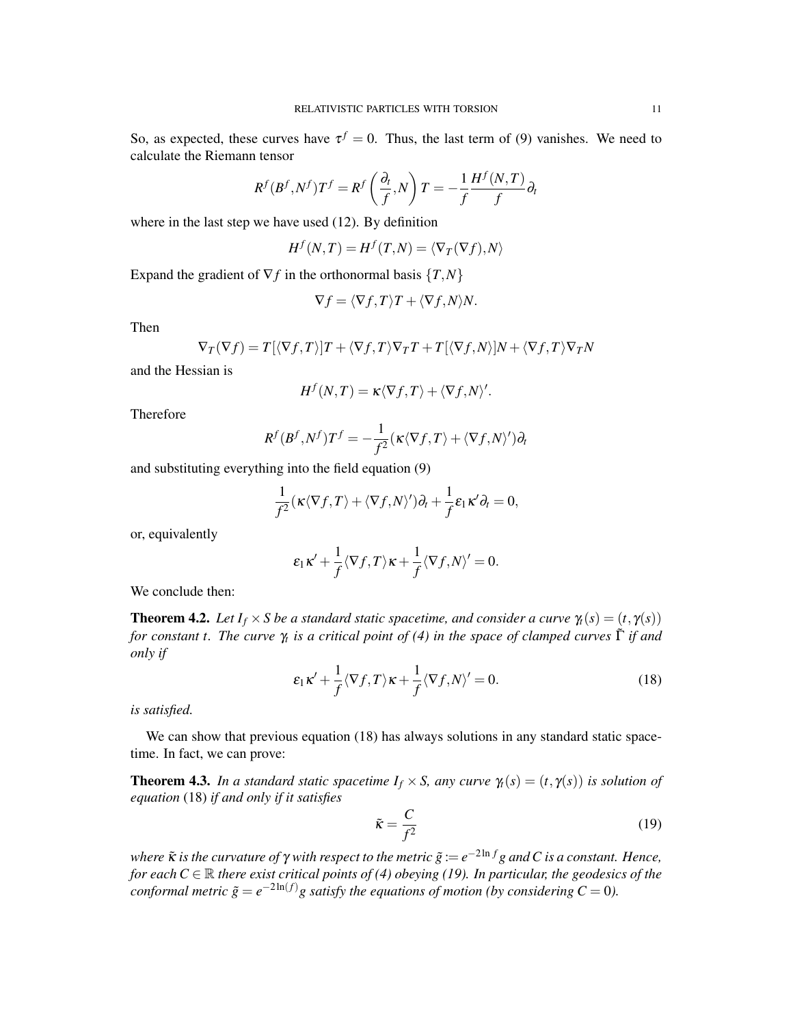So, as expected, these curves have  $\tau^f = 0$ . Thus, the last term of (9) vanishes. We need to calculate the Riemann tensor

$$
R^{f}(B^{f}, N^{f})T^{f} = R^{f}\left(\frac{\partial_{t}}{f}, N\right)T = -\frac{1}{f}\frac{H^{f}(N, T)}{f}\partial_{t}
$$

where in the last step we have used (12). By definition

$$
H^f(N,T) = H^f(T,N) = \langle \nabla_T(\nabla f), N \rangle
$$

Expand the gradient of  $\nabla f$  in the orthonormal basis  $\{T, N\}$ 

$$
\nabla f = \langle \nabla f, T \rangle T + \langle \nabla f, N \rangle N.
$$

Then

$$
\nabla_T(\nabla f) = T[\langle \nabla f, T \rangle]T + \langle \nabla f, T \rangle \nabla_T T + T[\langle \nabla f, N \rangle]N + \langle \nabla f, T \rangle \nabla_T N
$$

and the Hessian is

$$
H^f(N,T) = \kappa \langle \nabla f, T \rangle + \langle \nabla f, N \rangle'.
$$

Therefore

$$
R^f(B^f,N^f)T^f=-\frac{1}{f^2}(\kappa\langle \nabla f,T\rangle+\langle \nabla f,N\rangle')\partial_t
$$

and substituting everything into the field equation (9)

$$
\frac{1}{f^2}(\kappa \langle \nabla f, T \rangle + \langle \nabla f, N \rangle') \partial_t + \frac{1}{f} \varepsilon_1 \kappa' \partial_t = 0,
$$

or, equivalently

$$
\varepsilon_1\kappa' + \frac{1}{f}\langle \nabla f, T \rangle \kappa + \frac{1}{f}\langle \nabla f, N \rangle' = 0.
$$

We conclude then:

**Theorem 4.2.** *Let*  $I_f \times S$  *be a standard static spacetime, and consider a curve*  $\gamma_t(s) = (t, \gamma(s))$ *for constant t. The curve* <sup>γ</sup>*<sup>t</sup> is a critical point of (4) in the space of clamped curves* Γ˜ *if and only if*

$$
\varepsilon_1 \kappa' + \frac{1}{f} \langle \nabla f, T \rangle \kappa + \frac{1}{f} \langle \nabla f, N \rangle' = 0.
$$
 (18)

*is satisfied.*

We can show that previous equation (18) has always solutions in any standard static spacetime. In fact, we can prove:

**Theorem 4.3.** *In a standard static spacetime*  $I_f \times S$ *, any curve*  $\gamma_t(s) = (t, \gamma(s))$  *is solution of equation* (18) *if and only if it satisfies*

$$
\tilde{\kappa} = \frac{C}{f^2} \tag{19}
$$

*where* <sup>κ</sup>˜ *is the curvature of* <sup>γ</sup> *with respect to the metric g*˜ := *e <sup>−</sup>*2ln *<sup>f</sup> g andC is a constant. Hence, for each*  $C \in \mathbb{R}$  *there exist critical points of (4) obeying (19). In particular, the geodesics of the conformal metric*  $\tilde{g} = e^{-2\ln(f)}g$  *satisfy the equations of motion (by considering*  $C = 0$ ).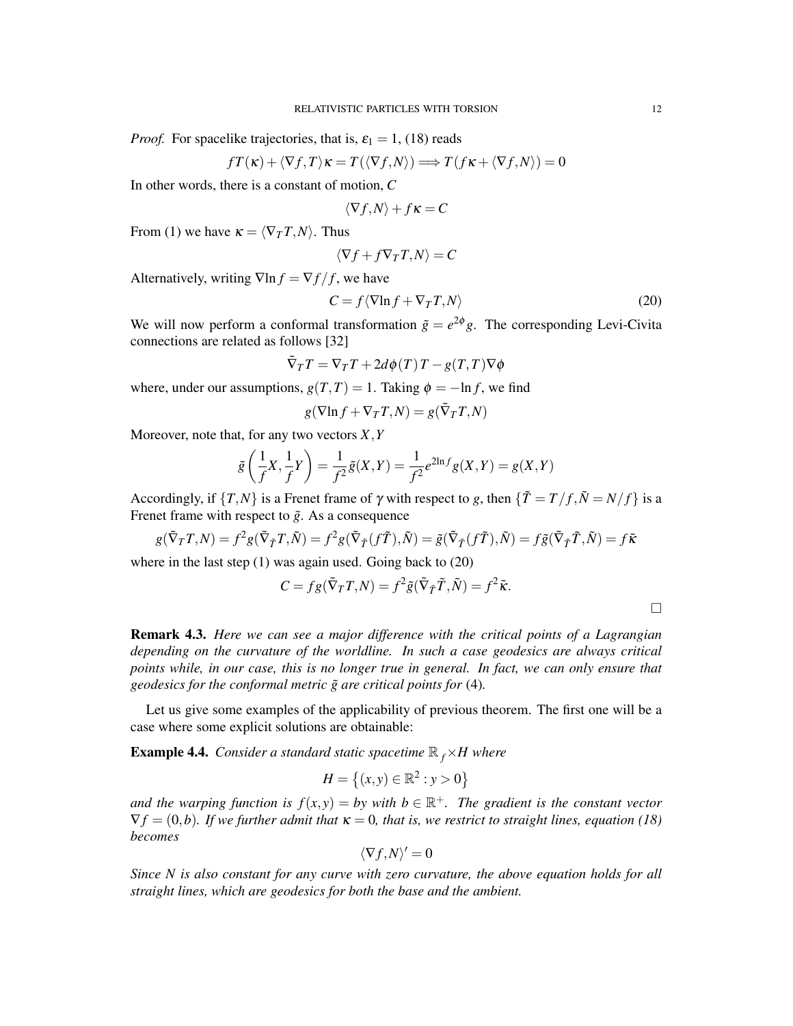*Proof.* For spacelike trajectories, that is,  $\varepsilon_1 = 1$ , (18) reads

$$
fT(\kappa) + \langle \nabla f, T \rangle \kappa = T(\langle \nabla f, N \rangle) \Longrightarrow T(f\kappa + \langle \nabla f, N \rangle) = 0
$$

In other words, there is a constant of motion, *C*

$$
\langle \nabla f, N \rangle + f\kappa = C
$$

From (1) we have  $\kappa = \langle \nabla_T T, N \rangle$ . Thus

$$
\langle \nabla f + f \nabla_T T, N \rangle = C
$$

Alternatively, writing  $\nabla \ln f = \nabla f / f$ , we have

$$
C = f \langle \nabla \ln f + \nabla_T T, N \rangle \tag{20}
$$

We will now perform a conformal transformation  $\tilde{g} = e^{2\phi}g$ . The corresponding Levi-Civita connections are related as follows [32]

$$
\tilde{\nabla}_T T = \nabla_T T + 2d\phi(T) T - g(T,T)\nabla\phi
$$

where, under our assumptions,  $g(T, T) = 1$ . Taking  $\phi = -\ln f$ , we find

$$
g(\nabla \ln f + \nabla_T T, N) = g(\tilde{\nabla}_T T, N)
$$

Moreover, note that, for any two vectors *X,Y*

$$
\tilde{g}\left(\frac{1}{f}X, \frac{1}{f}Y\right) = \frac{1}{f^2}\tilde{g}(X, Y) = \frac{1}{f^2}e^{2\ln f}g(X, Y) = g(X, Y)
$$

Accordingly, if  $\{T, N\}$  is a Frenet frame of  $\gamma$  with respect to *g*, then  $\{\tilde{T} = T/f, \tilde{N} = N/f\}$  is a Frenet frame with respect to  $\tilde{g}$ . As a consequence

$$
g(\tilde{\nabla}_T T, N) = f^2 g(\tilde{\nabla}_{\tilde{T}} T, \tilde{N}) = f^2 g(\tilde{\nabla}_{\tilde{T}} (f\tilde{T}), \tilde{N}) = \tilde{g}(\tilde{\nabla}_{\tilde{T}} (f\tilde{T}), \tilde{N}) = f\tilde{g}(\tilde{\nabla}_{\tilde{T}} \tilde{T}, \tilde{N}) = f\tilde{\kappa}
$$

where in the last step (1) was again used. Going back to (20)

$$
C = fg(\tilde{\nabla}_T T, N) = f^2 \tilde{g}(\tilde{\nabla}_{\tilde{T}} \tilde{T}, \tilde{N}) = f^2 \tilde{\kappa}.
$$

Remark 4.3. *Here we can see a major difference with the critical points of a Lagrangian depending on the curvature of the worldline. In such a case geodesics are always critical points while, in our case, this is no longer true in general. In fact, we can only ensure that geodesics for the conformal metric g*˜ *are critical points for* (4)*.*

Let us give some examples of the applicability of previous theorem. The first one will be a case where some explicit solutions are obtainable:

**Example 4.4.** *Consider a standard static spacetime*  $\mathbb{R}_f$  *×H where* 

$$
H = \{(x, y) \in \mathbb{R}^2 : y > 0\}
$$

*and the warping function is*  $f(x, y) = by$  *with*  $b \in \mathbb{R}^+$ . The gradient is the constant vector  $\nabla f = (0, b)$ *. If we further admit that*  $\kappa = 0$ *, that is, we restrict to straight lines, equation (18) becomes*

$$
\langle \nabla f, N \rangle' = 0
$$

*Since N is also constant for any curve with zero curvature, the above equation holds for all straight lines, which are geodesics for both the base and the ambient.*

□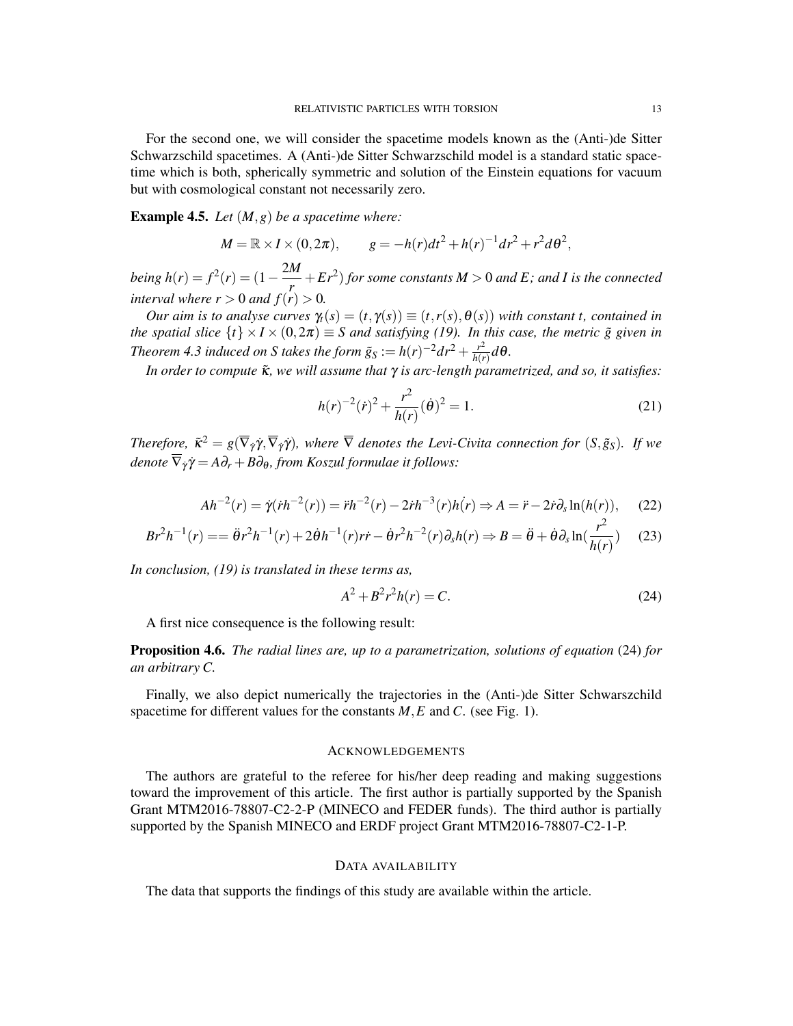For the second one, we will consider the spacetime models known as the (Anti-)de Sitter Schwarzschild spacetimes. A (Anti-)de Sitter Schwarzschild model is a standard static spacetime which is both, spherically symmetric and solution of the Einstein equations for vacuum but with cosmological constant not necessarily zero.

Example 4.5. *Let* (*M,g*) *be a spacetime where:*

$$
M = \mathbb{R} \times I \times (0, 2\pi), \qquad g = -h(r)dt^2 + h(r)^{-1}dr^2 + r^2d\theta^2,
$$

 $b$ *eing*  $h(r) = f^2(r) = (1 - \frac{2M}{r})$  $\frac{M}{r}$  +  $Er^2$ ) for some constants  $M > 0$  and  $E$ ; and *I* is the connected *interval where*  $r > 0$  *and*  $f(r) > 0$ .

*Our aim is to analyse curves*  $\gamma_t(s) = (t, \gamma(s)) \equiv (t, r(s), \theta(s))$  *with constant t, contained in the spatial slice*  $\{t\} \times I \times (0, 2\pi) \equiv S$  *and satisfying (19). In this case, the metric*  $\tilde{g}$  *given in Theorem 4.3 induced on S takes the form*  $\tilde{g}_S := h(r)^{-2} dr^2 + \frac{r^2}{h(r)}$  $\frac{r^2}{h(r)}d\theta$ .

*In order to compute*  $\tilde{\mathbf{K}}$ *, we will assume that*  $\gamma$  *is arc-length parametrized, and so, it satisfies:* 

$$
h(r)^{-2}(\dot{r})^2 + \frac{r^2}{h(r)}(\dot{\theta})^2 = 1.
$$
 (21)

*Therefore,*  $\tilde{\kappa}^2 = g(\overline{\nabla}_{\dot{\gamma}}\dot{\gamma}, \overline{\nabla}_{\dot{\gamma}}\dot{\gamma})$ , where  $\overline{\nabla}$  denotes the Levi-Civita connection for  $(S, \tilde{g}_S)$ . If we *denote*  $\overline{\nabla}_{\dot{\gamma}} \dot{\gamma} = A \partial_r + B \partial_{\theta}$ , *from Koszul formulae it follows:* 

$$
Ah^{-2}(r) = \dot{\gamma}(\dot{r}h^{-2}(r)) = \ddot{r}h^{-2}(r) - 2\dot{r}h^{-3}(r)h(r) \Rightarrow A = \ddot{r} - 2\dot{r}\partial_s \ln(h(r)),\tag{22}
$$

$$
Br^2h^{-1}(r) = \ddot{\theta}r^2h^{-1}(r) + 2\dot{\theta}h^{-1}(r)rr - \dot{\theta}r^2h^{-2}(r)\partial_s h(r) \Rightarrow B = \ddot{\theta} + \dot{\theta}\partial_s \ln(\frac{r^2}{h(r)}) \tag{23}
$$

*In conclusion, (19) is translated in these terms as,*

$$
A^2 + B^2 r^2 h(r) = C.
$$
 (24)

A first nice consequence is the following result:

# Proposition 4.6. *The radial lines are, up to a parametrization, solutions of equation* (24) *for an arbitrary C.*

Finally, we also depict numerically the trajectories in the (Anti-)de Sitter Schwarszchild spacetime for different values for the constants *M,E* and *C*. (see Fig. 1).

### ACKNOWLEDGEMENTS

The authors are grateful to the referee for his/her deep reading and making suggestions toward the improvement of this article. The first author is partially supported by the Spanish Grant MTM2016-78807-C2-2-P (MINECO and FEDER funds). The third author is partially supported by the Spanish MINECO and ERDF project Grant MTM2016-78807-C2-1-P.

## DATA AVAILABILITY

The data that supports the findings of this study are available within the article.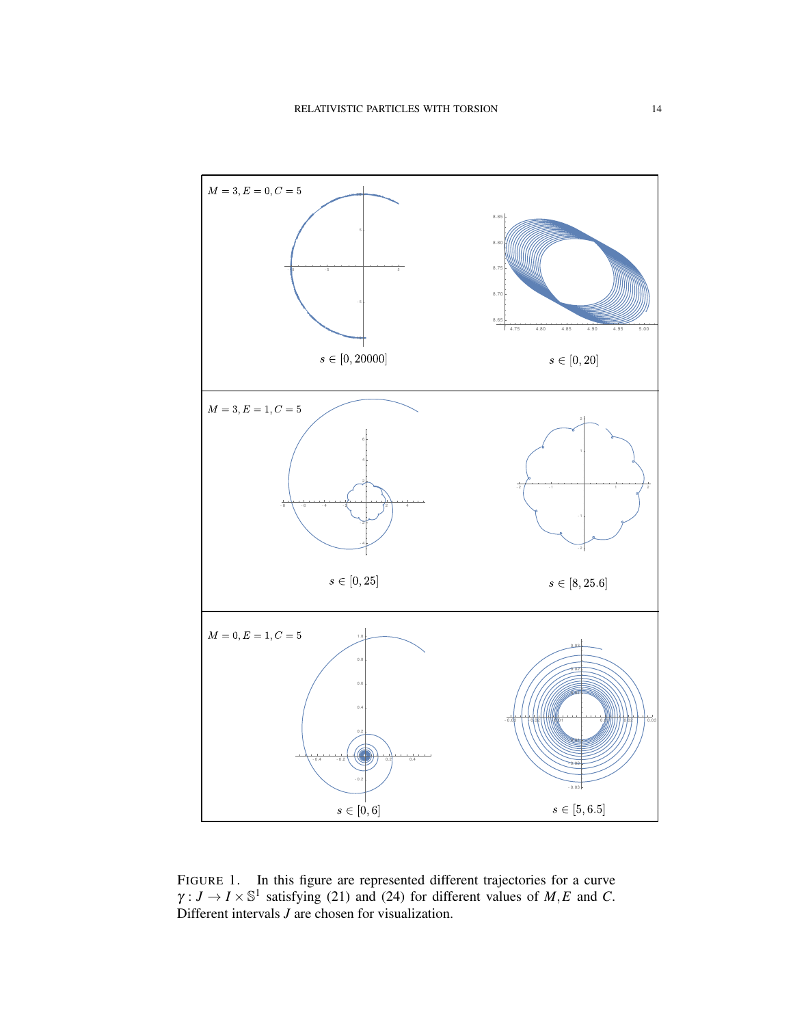

FIGURE 1. In this figure are represented different trajectories for a curve  $\gamma: J \to I \times \mathbb{S}^1$  satisfying (21) and (24) for different values of *M*, *E* and *C*. Different intervals *J* are chosen for visualization.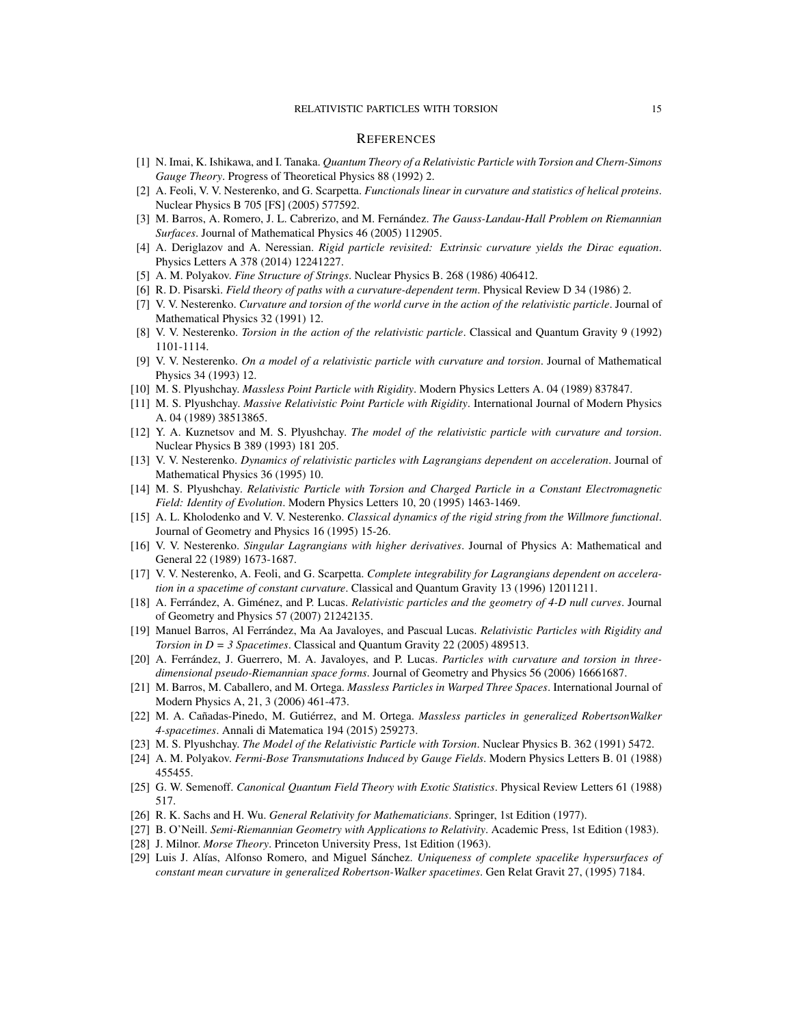#### RELATIVISTIC PARTICLES WITH TORSION 15

#### **REFERENCES**

- [1] N. Imai, K. Ishikawa, and I. Tanaka. *Quantum Theory of a Relativistic Particle with Torsion and Chern-Simons Gauge Theory*. Progress of Theoretical Physics 88 (1992) 2.
- [2] A. Feoli, V. V. Nesterenko, and G. Scarpetta. *Functionals linear in curvature and statistics of helical proteins*. Nuclear Physics B 705 [FS] (2005) 577592.
- [3] M. Barros, A. Romero, J. L. Cabrerizo, and M. Fernández. *The Gauss-Landau-Hall Problem on Riemannian Surfaces*. Journal of Mathematical Physics 46 (2005) 112905.
- [4] A. Deriglazov and A. Neressian. *Rigid particle revisited: Extrinsic curvature yields the Dirac equation*. Physics Letters A 378 (2014) 12241227.
- [5] A. M. Polyakov. *Fine Structure of Strings*. Nuclear Physics B. 268 (1986) 406412.
- [6] R. D. Pisarski. *Field theory of paths with a curvature-dependent term*. Physical Review D 34 (1986) 2.
- [7] V. V. Nesterenko. *Curvature and torsion of the world curve in the action of the relativistic particle*. Journal of Mathematical Physics 32 (1991) 12.
- [8] V. V. Nesterenko. *Torsion in the action of the relativistic particle*. Classical and Quantum Gravity 9 (1992) 1101-1114.
- [9] V. V. Nesterenko. *On a model of a relativistic particle with curvature and torsion*. Journal of Mathematical Physics 34 (1993) 12.
- [10] M. S. Plyushchay. *Massless Point Particle with Rigidity*. Modern Physics Letters A. 04 (1989) 837847.
- [11] M. S. Plyushchay. *Massive Relativistic Point Particle with Rigidity*. International Journal of Modern Physics A. 04 (1989) 38513865.
- [12] Y. A. Kuznetsov and M. S. Plyushchay. *The model of the relativistic particle with curvature and torsion*. Nuclear Physics B 389 (1993) 181 205.
- [13] V. V. Nesterenko. *Dynamics of relativistic particles with Lagrangians dependent on acceleration*. Journal of Mathematical Physics 36 (1995) 10.
- [14] M. S. Plyushchay. *Relativistic Particle with Torsion and Charged Particle in a Constant Electromagnetic Field: Identity of Evolution*. Modern Physics Letters 10, 20 (1995) 1463-1469.
- [15] A. L. Kholodenko and V. V. Nesterenko. *Classical dynamics of the rigid string from the Willmore functional*. Journal of Geometry and Physics 16 (1995) 15-26.
- [16] V. V. Nesterenko. *Singular Lagrangians with higher derivatives*. Journal of Physics A: Mathematical and General 22 (1989) 1673-1687.
- [17] V. V. Nesterenko, A. Feoli, and G. Scarpetta. *Complete integrability for Lagrangians dependent on acceleration in a spacetime of constant curvature*. Classical and Quantum Gravity 13 (1996) 12011211.
- [18] A. Ferrández, A. Giménez, and P. Lucas. *Relativistic particles and the geometry of 4-D null curves*. Journal of Geometry and Physics 57 (2007) 21242135.
- [19] Manuel Barros, Al Ferrández, Ma Aa Javaloyes, and Pascual Lucas. *Relativistic Particles with Rigidity and Torsion in D = 3 Spacetimes*. Classical and Quantum Gravity 22 (2005) 489513.
- [20] A. Ferrández, J. Guerrero, M. A. Javaloyes, and P. Lucas. *Particles with curvature and torsion in threedimensional pseudo-Riemannian space forms*. Journal of Geometry and Physics 56 (2006) 16661687.
- [21] M. Barros, M. Caballero, and M. Ortega. *Massless Particles in Warped Three Spaces*. International Journal of Modern Physics A, 21, 3 (2006) 461-473.
- [22] M. A. Cañadas-Pinedo, M. Gutiérrez, and M. Ortega. *Massless particles in generalized RobertsonWalker 4-spacetimes*. Annali di Matematica 194 (2015) 259273.
- [23] M. S. Plyushchay. *The Model of the Relativistic Particle with Torsion*. Nuclear Physics B. 362 (1991) 5472.
- [24] A. M. Polyakov. *Fermi-Bose Transmutations Induced by Gauge Fields*. Modern Physics Letters B. 01 (1988) 455455.
- [25] G. W. Semenoff. *Canonical Quantum Field Theory with Exotic Statistics*. Physical Review Letters 61 (1988) 517.
- [26] R. K. Sachs and H. Wu. *General Relativity for Mathematicians*. Springer, 1st Edition (1977).
- [27] B. O'Neill. *Semi-Riemannian Geometry with Applications to Relativity*. Academic Press, 1st Edition (1983).
- [28] J. Milnor. *Morse Theory*. Princeton University Press, 1st Edition (1963).
- [29] Luis J. Alías, Alfonso Romero, and Miguel Sánchez. *Uniqueness of complete spacelike hypersurfaces of constant mean curvature in generalized Robertson-Walker spacetimes*. Gen Relat Gravit 27, (1995) 7184.